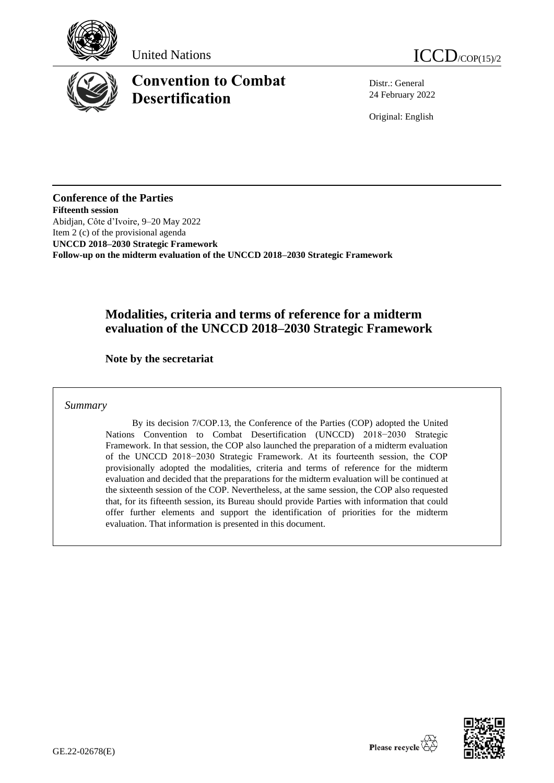





# **Convention to Combat Desertification**

Distr.: General 24 February 2022

Original: English

**Conference of the Parties Fifteenth session** Abidjan, Côte d'Ivoire, 9–20 May 2022 Item 2 (c) of the provisional agenda **UNCCD 2018–2030 Strategic Framework Follow-up on the midterm evaluation of the UNCCD 2018–2030 Strategic Framework**

### **Modalities, criteria and terms of reference for a midterm evaluation of the UNCCD 2018–2030 Strategic Framework**

**Note by the secretariat**

*Summary*

By its decision 7/COP.13, the Conference of the Parties (COP) adopted the United Nations Convention to Combat Desertification (UNCCD) 2018−2030 Strategic Framework. In that session, the COP also launched the preparation of a midterm evaluation of the UNCCD 2018−2030 Strategic Framework. At its fourteenth session, the COP provisionally adopted the modalities, criteria and terms of reference for the midterm evaluation and decided that the preparations for the midterm evaluation will be continued at the sixteenth session of the COP. Nevertheless, at the same session, the COP also requested that, for its fifteenth session, its Bureau should provide Parties with information that could offer further elements and support the identification of priorities for the midterm evaluation. That information is presented in this document.

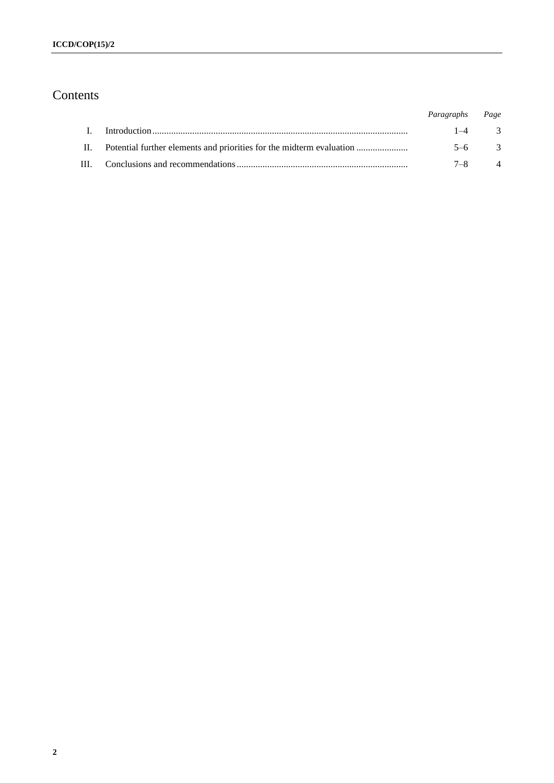## Contents

|                                                                          | Paragraphs Page |                |
|--------------------------------------------------------------------------|-----------------|----------------|
|                                                                          | $1-4$ 3         |                |
| II. Potential further elements and priorities for the midterm evaluation | $5-6$ 3         |                |
|                                                                          | $7 - 8$         | $\overline{4}$ |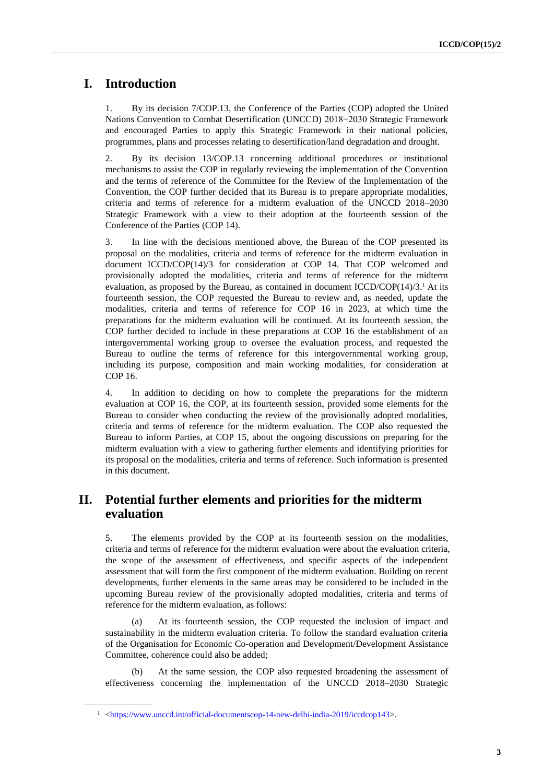## **I. Introduction**

1. By its decision 7/COP.13, the Conference of the Parties (COP) adopted the United Nations Convention to Combat Desertification (UNCCD) 2018−2030 Strategic Framework and encouraged Parties to apply this Strategic Framework in their national policies, programmes, plans and processes relating to desertification/land degradation and drought.

2. By its decision 13/COP.13 concerning additional procedures or institutional mechanisms to assist the COP in regularly reviewing the implementation of the Convention and the terms of reference of the Committee for the Review of the Implementation of the Convention, the COP further decided that its Bureau is to prepare appropriate modalities, criteria and terms of reference for a midterm evaluation of the UNCCD 2018–2030 Strategic Framework with a view to their adoption at the fourteenth session of the Conference of the Parties (COP 14).

3. In line with the decisions mentioned above, the Bureau of the COP presented its proposal on the modalities, criteria and terms of reference for the midterm evaluation in document ICCD/COP(14)/3 for consideration at COP 14. That COP welcomed and provisionally adopted the modalities, criteria and terms of reference for the midterm evaluation, as proposed by the Bureau, as contained in document  $ICCD/COP(14)/3$ .<sup>1</sup> At its fourteenth session, the COP requested the Bureau to review and, as needed, update the modalities, criteria and terms of reference for COP 16 in 2023, at which time the preparations for the midterm evaluation will be continued. At its fourteenth session, the COP further decided to include in these preparations at COP 16 the establishment of an intergovernmental working group to oversee the evaluation process, and requested the Bureau to outline the terms of reference for this intergovernmental working group, including its purpose, composition and main working modalities, for consideration at COP 16.

4. In addition to deciding on how to complete the preparations for the midterm evaluation at COP 16, the COP, at its fourteenth session, provided some elements for the Bureau to consider when conducting the review of the provisionally adopted modalities, criteria and terms of reference for the midterm evaluation. The COP also requested the Bureau to inform Parties, at COP 15, about the ongoing discussions on preparing for the midterm evaluation with a view to gathering further elements and identifying priorities for its proposal on the modalities, criteria and terms of reference. Such information is presented in this document.

#### **II. Potential further elements and priorities for the midterm evaluation**

5. The elements provided by the COP at its fourteenth session on the modalities, criteria and terms of reference for the midterm evaluation were about the evaluation criteria, the scope of the assessment of effectiveness, and specific aspects of the independent assessment that will form the first component of the midterm evaluation. Building on recent developments, further elements in the same areas may be considered to be included in the upcoming Bureau review of the provisionally adopted modalities, criteria and terms of reference for the midterm evaluation, as follows:

(a) At its fourteenth session, the COP requested the inclusion of impact and sustainability in the midterm evaluation criteria. To follow the standard evaluation criteria of the Organisation for Economic Co-operation and Development/Development Assistance Committee, coherence could also be added;

(b) At the same session, the COP also requested broadening the assessment of effectiveness concerning the implementation of the UNCCD 2018–2030 Strategic

<sup>&</sup>lt;sup>1</sup> [<https://www.unccd.int/official-documentscop-14-new-delhi-india-2019/iccdcop143>](https://www.unccd.int/official-documentscop-14-new-delhi-india-2019/iccdcop143).